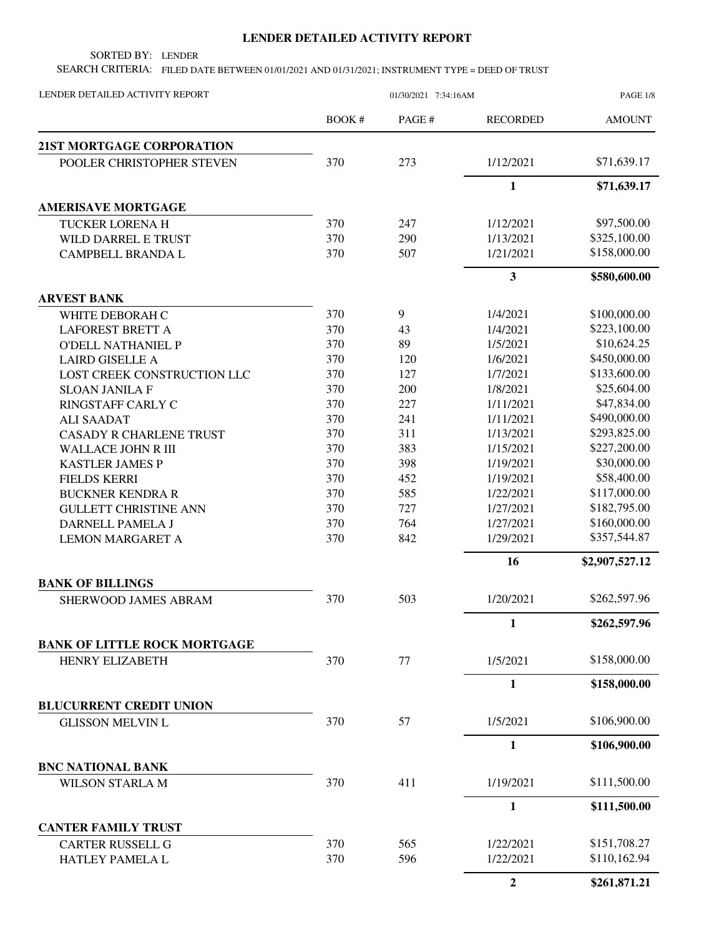## **LENDER DETAILED ACTIVITY REPORT**

SORTED BY: LENDER

SEARCH CRITERIA: FILED DATE BETWEEN 01/01/2021 AND 01/31/2021; INSTRUMENT TYPE = DEED OF TRUST

| LENDER DETAILED ACTIVITY REPORT     |              | 01/30/2021 7:34:16AM |                 |                |
|-------------------------------------|--------------|----------------------|-----------------|----------------|
|                                     | <b>BOOK#</b> | PAGE#                | <b>RECORDED</b> | <b>AMOUNT</b>  |
| <b>21ST MORTGAGE CORPORATION</b>    |              |                      |                 |                |
| POOLER CHRISTOPHER STEVEN           | 370          | 273                  | 1/12/2021       | \$71,639.17    |
|                                     |              |                      | $\mathbf{1}$    | \$71,639.17    |
| <b>AMERISAVE MORTGAGE</b>           |              |                      |                 |                |
| <b>TUCKER LORENA H</b>              | 370          | 247                  | 1/12/2021       | \$97,500.00    |
| WILD DARREL E TRUST                 | 370          | 290                  | 1/13/2021       | \$325,100.00   |
| CAMPBELL BRANDA L                   | 370          | 507                  | 1/21/2021       | \$158,000.00   |
|                                     |              |                      | 3               | \$580,600.00   |
| <b>ARVEST BANK</b>                  |              |                      |                 |                |
| WHITE DEBORAH C                     | 370          | 9                    | 1/4/2021        | \$100,000.00   |
| <b>LAFOREST BRETT A</b>             | 370          | 43                   | 1/4/2021        | \$223,100.00   |
| <b>O'DELL NATHANIEL P</b>           | 370          | 89                   | 1/5/2021        | \$10,624.25    |
| <b>LAIRD GISELLE A</b>              | 370          | 120                  | 1/6/2021        | \$450,000.00   |
| LOST CREEK CONSTRUCTION LLC         | 370          | 127                  | 1/7/2021        | \$133,600.00   |
| <b>SLOAN JANILA F</b>               | 370          | 200                  | 1/8/2021        | \$25,604.00    |
| RINGSTAFF CARLY C                   | 370          | 227                  | 1/11/2021       | \$47,834.00    |
| <b>ALI SAADAT</b>                   | 370          | 241                  | 1/11/2021       | \$490,000.00   |
| <b>CASADY R CHARLENE TRUST</b>      | 370          | 311                  | 1/13/2021       | \$293,825.00   |
| <b>WALLACE JOHN R III</b>           | 370          | 383                  | 1/15/2021       | \$227,200.00   |
| <b>KASTLER JAMES P</b>              | 370          | 398                  | 1/19/2021       | \$30,000.00    |
| <b>FIELDS KERRI</b>                 | 370          | 452                  | 1/19/2021       | \$58,400.00    |
| <b>BUCKNER KENDRA R</b>             | 370          | 585                  | 1/22/2021       | \$117,000.00   |
| <b>GULLETT CHRISTINE ANN</b>        | 370          | 727                  | 1/27/2021       | \$182,795.00   |
| DARNELL PAMELA J                    | 370          | 764                  | 1/27/2021       | \$160,000.00   |
| <b>LEMON MARGARET A</b>             | 370          | 842                  | 1/29/2021       | \$357,544.87   |
|                                     |              |                      | 16              | \$2,907,527.12 |
| <b>BANK OF BILLINGS</b>             |              |                      |                 |                |
| <b>SHERWOOD JAMES ABRAM</b>         | 370          | 503                  | 1/20/2021       | \$262,597.96   |
|                                     |              |                      | 1               | \$262,597.96   |
| <b>BANK OF LITTLE ROCK MORTGAGE</b> |              |                      |                 |                |
| <b>HENRY ELIZABETH</b>              | 370          | 77                   | 1/5/2021        | \$158,000.00   |
|                                     |              |                      | $\mathbf{1}$    | \$158,000.00   |
| <b>BLUCURRENT CREDIT UNION</b>      |              |                      |                 |                |
| <b>GLISSON MELVIN L</b>             | 370          | 57                   | 1/5/2021        | \$106,900.00   |
|                                     |              |                      | $\mathbf{1}$    | \$106,900.00   |
| <b>BNC NATIONAL BANK</b>            |              |                      |                 |                |
| <b>WILSON STARLA M</b>              | 370          | 411                  | 1/19/2021       | \$111,500.00   |
|                                     |              |                      | $\mathbf{1}$    | \$111,500.00   |
| <b>CANTER FAMILY TRUST</b>          |              |                      |                 |                |
| <b>CARTER RUSSELL G</b>             | 370          | 565                  | 1/22/2021       | \$151,708.27   |
| HATLEY PAMELA L                     | 370          | 596                  | 1/22/2021       | \$110,162.94   |
|                                     |              |                      | $\mathbf{2}$    | \$261,871.21   |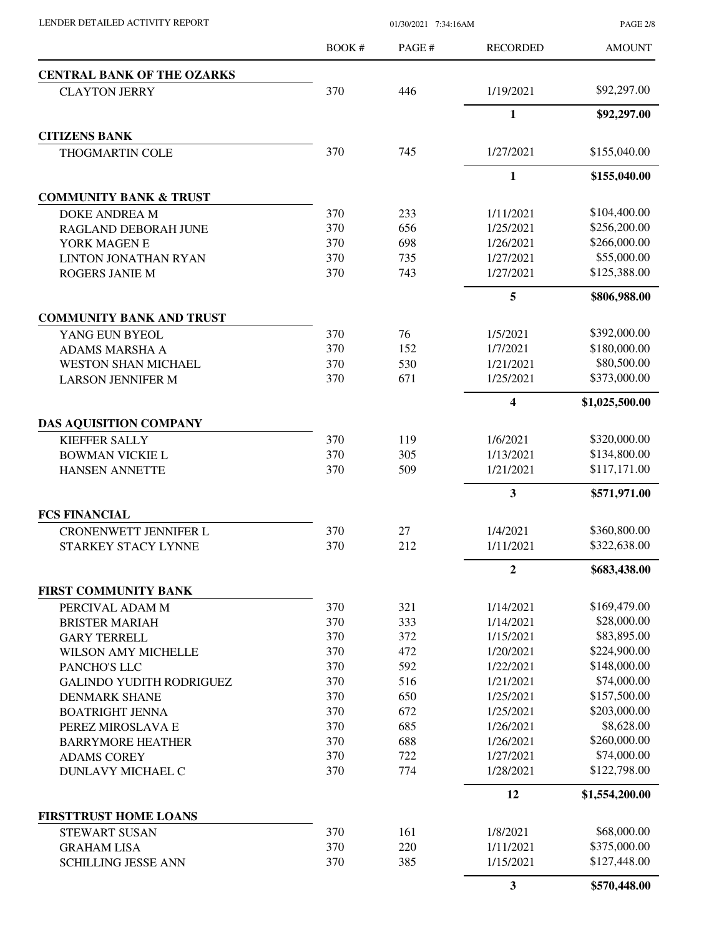PAGE 2/8

|                                   | BOOK# | PAGE # | <b>RECORDED</b>         | <b>AMOUNT</b>  |
|-----------------------------------|-------|--------|-------------------------|----------------|
| <b>CENTRAL BANK OF THE OZARKS</b> |       |        |                         |                |
| <b>CLAYTON JERRY</b>              | 370   | 446    | 1/19/2021               | \$92,297.00    |
|                                   |       |        | $\mathbf{1}$            | \$92,297.00    |
| <b>CITIZENS BANK</b>              |       |        |                         |                |
| <b>THOGMARTIN COLE</b>            | 370   | 745    | 1/27/2021               | \$155,040.00   |
|                                   |       |        | $\mathbf{1}$            | \$155,040.00   |
| <b>COMMUNITY BANK &amp; TRUST</b> |       |        |                         |                |
| <b>DOKE ANDREA M</b>              | 370   | 233    | 1/11/2021               | \$104,400.00   |
| RAGLAND DEBORAH JUNE              | 370   | 656    | 1/25/2021               | \$256,200.00   |
| YORK MAGEN E                      | 370   | 698    | 1/26/2021               | \$266,000.00   |
| LINTON JONATHAN RYAN              | 370   | 735    | 1/27/2021               | \$55,000.00    |
| <b>ROGERS JANIE M</b>             | 370   | 743    | 1/27/2021               | \$125,388.00   |
|                                   |       |        | 5                       | \$806,988.00   |
| <b>COMMUNITY BANK AND TRUST</b>   |       |        |                         |                |
| YANG EUN BYEOL                    | 370   | 76     | 1/5/2021                | \$392,000.00   |
| <b>ADAMS MARSHA A</b>             | 370   | 152    | 1/7/2021                | \$180,000.00   |
| <b>WESTON SHAN MICHAEL</b>        | 370   | 530    | 1/21/2021               | \$80,500.00    |
| <b>LARSON JENNIFER M</b>          | 370   | 671    | 1/25/2021               | \$373,000.00   |
|                                   |       |        | $\overline{\mathbf{4}}$ | \$1,025,500.00 |
| <b>DAS AQUISITION COMPANY</b>     |       |        |                         |                |
| <b>KIEFFER SALLY</b>              | 370   | 119    | 1/6/2021                | \$320,000.00   |
| <b>BOWMAN VICKIE L</b>            | 370   | 305    | 1/13/2021               | \$134,800.00   |
| <b>HANSEN ANNETTE</b>             | 370   | 509    | 1/21/2021               | \$117,171.00   |
|                                   |       |        | 3                       | \$571,971.00   |
| <b>FCS FINANCIAL</b>              |       |        |                         |                |
| <b>CRONENWETT JENNIFER L</b>      | 370   | 27     | 1/4/2021                | \$360,800.00   |
| STARKEY STACY LYNNE               | 370   | 212    | 1/11/2021               | \$322,638.00   |
|                                   |       |        | 2                       | \$683,438.00   |
| FIRST COMMUNITY BANK              |       |        |                         |                |
| PERCIVAL ADAM M                   | 370   | 321    | 1/14/2021               | \$169,479.00   |
| <b>BRISTER MARIAH</b>             | 370   | 333    | 1/14/2021               | \$28,000.00    |
| <b>GARY TERRELL</b>               | 370   | 372    | 1/15/2021               | \$83,895.00    |
| WILSON AMY MICHELLE               | 370   | 472    | 1/20/2021               | \$224,900.00   |
| PANCHO'S LLC                      | 370   | 592    | 1/22/2021               | \$148,000.00   |
| <b>GALINDO YUDITH RODRIGUEZ</b>   | 370   | 516    | 1/21/2021               | \$74,000.00    |
| <b>DENMARK SHANE</b>              | 370   | 650    | 1/25/2021               | \$157,500.00   |
| <b>BOATRIGHT JENNA</b>            | 370   | 672    | 1/25/2021               | \$203,000.00   |
| PEREZ MIROSLAVA E                 | 370   | 685    | 1/26/2021               | \$8,628.00     |
| <b>BARRYMORE HEATHER</b>          | 370   | 688    | 1/26/2021               | \$260,000.00   |
| <b>ADAMS COREY</b>                | 370   | 722    | 1/27/2021               | \$74,000.00    |
| DUNLAVY MICHAEL C                 | 370   | 774    | 1/28/2021               | \$122,798.00   |
|                                   |       |        | 12                      | \$1,554,200.00 |
| <b>FIRSTTRUST HOME LOANS</b>      |       |        |                         |                |
| <b>STEWART SUSAN</b>              | 370   | 161    | 1/8/2021                | \$68,000.00    |
| <b>GRAHAM LISA</b>                | 370   | 220    | 1/11/2021               | \$375,000.00   |
| <b>SCHILLING JESSE ANN</b>        | 370   | 385    | 1/15/2021               | \$127,448.00   |
|                                   |       |        | 3                       | \$570,448.00   |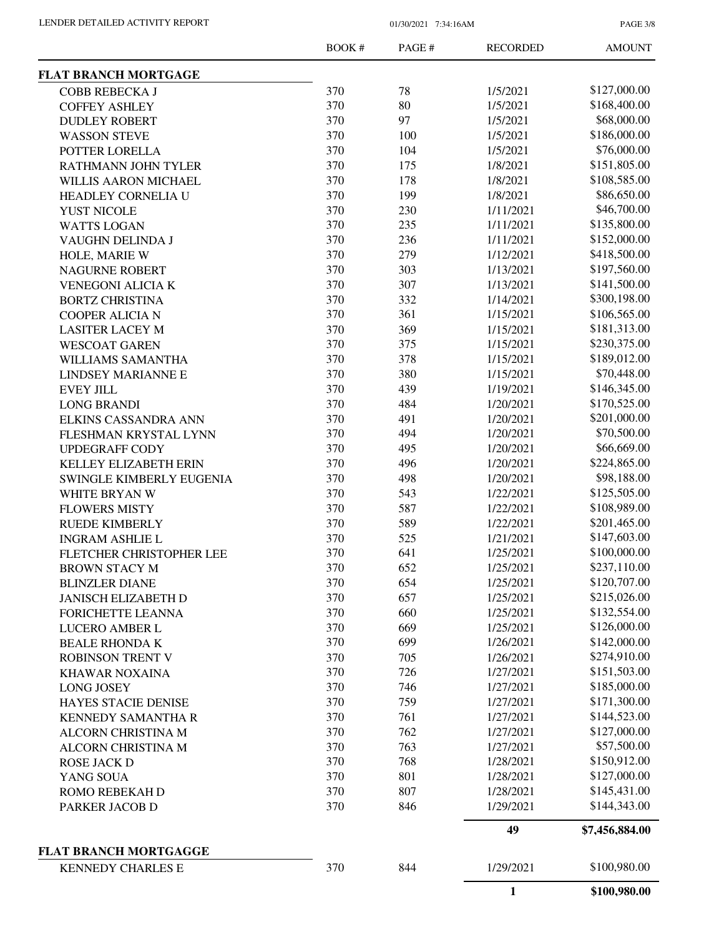PAGE 3/8

|                              | <b>BOOK#</b> | PAGE# | <b>RECORDED</b> | <b>AMOUNT</b>  |
|------------------------------|--------------|-------|-----------------|----------------|
| FLAT BRANCH MORTGAGE         |              |       |                 |                |
| COBB REBECKA J               | 370          | 78    | 1/5/2021        | \$127,000.00   |
| <b>COFFEY ASHLEY</b>         | 370          | 80    | 1/5/2021        | \$168,400.00   |
| <b>DUDLEY ROBERT</b>         | 370          | 97    | 1/5/2021        | \$68,000.00    |
| <b>WASSON STEVE</b>          | 370          | 100   | 1/5/2021        | \$186,000.00   |
| POTTER LORELLA               | 370          | 104   | 1/5/2021        | \$76,000.00    |
| RATHMANN JOHN TYLER          | 370          | 175   | 1/8/2021        | \$151,805.00   |
| WILLIS AARON MICHAEL         | 370          | 178   | 1/8/2021        | \$108,585.00   |
| HEADLEY CORNELIA U           | 370          | 199   | 1/8/2021        | \$86,650.00    |
| YUST NICOLE                  | 370          | 230   | 1/11/2021       | \$46,700.00    |
| <b>WATTS LOGAN</b>           | 370          | 235   | 1/11/2021       | \$135,800.00   |
| VAUGHN DELINDA J             | 370          | 236   | 1/11/2021       | \$152,000.00   |
| HOLE, MARIE W                | 370          | 279   | 1/12/2021       | \$418,500.00   |
| <b>NAGURNE ROBERT</b>        | 370          | 303   | 1/13/2021       | \$197,560.00   |
| <b>VENEGONI ALICIA K</b>     | 370          | 307   | 1/13/2021       | \$141,500.00   |
| <b>BORTZ CHRISTINA</b>       | 370          | 332   | 1/14/2021       | \$300,198.00   |
| COOPER ALICIA N              | 370          | 361   | 1/15/2021       | \$106,565.00   |
| <b>LASITER LACEY M</b>       | 370          | 369   | 1/15/2021       | \$181,313.00   |
| <b>WESCOAT GAREN</b>         | 370          | 375   | 1/15/2021       | \$230,375.00   |
| WILLIAMS SAMANTHA            | 370          | 378   | 1/15/2021       | \$189,012.00   |
|                              | 370          | 380   | 1/15/2021       | \$70,448.00    |
| LINDSEY MARIANNE E           |              |       |                 |                |
| <b>EVEY JILL</b>             | 370          | 439   | 1/19/2021       | \$146,345.00   |
| <b>LONG BRANDI</b>           | 370          | 484   | 1/20/2021       | \$170,525.00   |
| ELKINS CASSANDRA ANN         | 370          | 491   | 1/20/2021       | \$201,000.00   |
| FLESHMAN KRYSTAL LYNN        | 370          | 494   | 1/20/2021       | \$70,500.00    |
| <b>UPDEGRAFF CODY</b>        | 370          | 495   | 1/20/2021       | \$66,669.00    |
| KELLEY ELIZABETH ERIN        | 370          | 496   | 1/20/2021       | \$224,865.00   |
| SWINGLE KIMBERLY EUGENIA     | 370          | 498   | 1/20/2021       | \$98,188.00    |
| WHITE BRYAN W                | 370          | 543   | 1/22/2021       | \$125,505.00   |
| <b>FLOWERS MISTY</b>         | 370          | 587   | 1/22/2021       | \$108,989.00   |
| <b>RUEDE KIMBERLY</b>        | 370          | 589   | 1/22/2021       | \$201,465.00   |
| <b>INGRAM ASHLIE L</b>       | 370          | 525   | 1/21/2021       | \$147,603.00   |
| FLETCHER CHRISTOPHER LEE     | 370          | 641   | 1/25/2021       | \$100,000.00   |
| <b>BROWN STACY M</b>         | 370          | 652   | 1/25/2021       | \$237,110.00   |
| <b>BLINZLER DIANE</b>        | 370          | 654   | 1/25/2021       | \$120,707.00   |
| <b>JANISCH ELIZABETH D</b>   | 370          | 657   | 1/25/2021       | \$215,026.00   |
| FORICHETTE LEANNA            | 370          | 660   | 1/25/2021       | \$132,554.00   |
| LUCERO AMBER L               | 370          | 669   | 1/25/2021       | \$126,000.00   |
| <b>BEALE RHONDA K</b>        | 370          | 699   | 1/26/2021       | \$142,000.00   |
| <b>ROBINSON TRENT V</b>      | 370          | 705   | 1/26/2021       | \$274,910.00   |
| <b>KHAWAR NOXAINA</b>        | 370          | 726   | 1/27/2021       | \$151,503.00   |
| <b>LONG JOSEY</b>            | 370          | 746   | 1/27/2021       | \$185,000.00   |
| HAYES STACIE DENISE          | 370          | 759   | 1/27/2021       | \$171,300.00   |
| KENNEDY SAMANTHA R           | 370          | 761   | 1/27/2021       | \$144,523.00   |
| ALCORN CHRISTINA M           | 370          | 762   | 1/27/2021       | \$127,000.00   |
| ALCORN CHRISTINA M           | 370          | 763   | 1/27/2021       | \$57,500.00    |
| <b>ROSE JACK D</b>           | 370          | 768   | 1/28/2021       | \$150,912.00   |
| YANG SOUA                    | 370          | 801   | 1/28/2021       | \$127,000.00   |
| ROMO REBEKAH D               | 370          | 807   | 1/28/2021       | \$145,431.00   |
| PARKER JACOB D               | 370          | 846   | 1/29/2021       | \$144,343.00   |
|                              |              |       | 49              | \$7,456,884.00 |
| <b>FLAT BRANCH MORTGAGGE</b> |              |       |                 |                |
| <b>KENNEDY CHARLES E</b>     | 370          | 844   | 1/29/2021       | \$100,980.00   |
|                              |              |       | 1               | \$100,980.00   |
|                              |              |       |                 |                |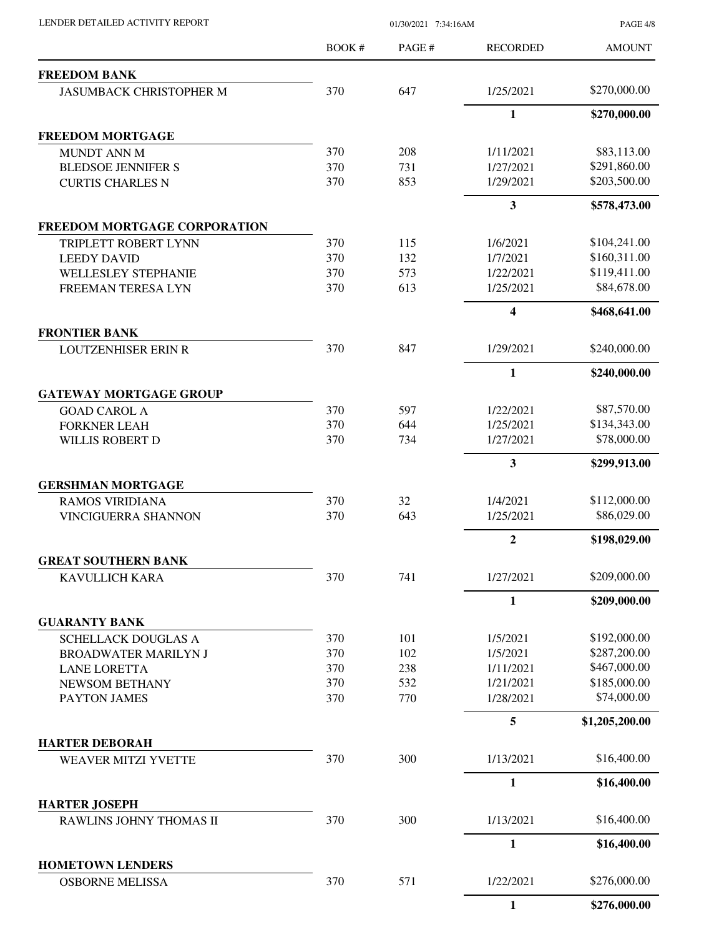| LENDER DETAILED ACTIVITY REPORT                                                                                                                                                                                                                                                                                                                                                                                                                                                                                                                                                                                                                                                                                                                                                                                                                                                                                     |              | 01/30/2021 7:34:16AM |                       | <b>PAGE 4/8</b>              |
|---------------------------------------------------------------------------------------------------------------------------------------------------------------------------------------------------------------------------------------------------------------------------------------------------------------------------------------------------------------------------------------------------------------------------------------------------------------------------------------------------------------------------------------------------------------------------------------------------------------------------------------------------------------------------------------------------------------------------------------------------------------------------------------------------------------------------------------------------------------------------------------------------------------------|--------------|----------------------|-----------------------|------------------------------|
|                                                                                                                                                                                                                                                                                                                                                                                                                                                                                                                                                                                                                                                                                                                                                                                                                                                                                                                     | <b>BOOK#</b> | PAGE #               | <b>RECORDED</b>       | <b>AMOUNT</b>                |
| <b>FREEDOM BANK</b>                                                                                                                                                                                                                                                                                                                                                                                                                                                                                                                                                                                                                                                                                                                                                                                                                                                                                                 |              |                      |                       |                              |
| <b>JASUMBACK CHRISTOPHER M</b>                                                                                                                                                                                                                                                                                                                                                                                                                                                                                                                                                                                                                                                                                                                                                                                                                                                                                      | 370          | 647                  | 1/25/2021             | \$270,000.00                 |
|                                                                                                                                                                                                                                                                                                                                                                                                                                                                                                                                                                                                                                                                                                                                                                                                                                                                                                                     |              |                      | $\mathbf{1}$          | \$270,000.00                 |
| <b>FREEDOM MORTGAGE</b>                                                                                                                                                                                                                                                                                                                                                                                                                                                                                                                                                                                                                                                                                                                                                                                                                                                                                             |              |                      |                       |                              |
| MUNDT ANN M                                                                                                                                                                                                                                                                                                                                                                                                                                                                                                                                                                                                                                                                                                                                                                                                                                                                                                         | 370          | 208                  | 1/11/2021             | \$83,113.00                  |
| <b>BLEDSOE JENNIFER S</b>                                                                                                                                                                                                                                                                                                                                                                                                                                                                                                                                                                                                                                                                                                                                                                                                                                                                                           | 370          | 731                  | 1/27/2021             | \$291,860.00                 |
|                                                                                                                                                                                                                                                                                                                                                                                                                                                                                                                                                                                                                                                                                                                                                                                                                                                                                                                     |              |                      | 1/29/2021             | \$203,500.00                 |
|                                                                                                                                                                                                                                                                                                                                                                                                                                                                                                                                                                                                                                                                                                                                                                                                                                                                                                                     |              |                      | 3                     | \$578,473.00                 |
| 370<br>853<br><b>CURTIS CHARLES N</b><br>FREEDOM MORTGAGE CORPORATION<br>370<br>115<br>TRIPLETT ROBERT LYNN<br>370<br>132<br><b>LEEDY DAVID</b><br><b>WELLESLEY STEPHANIE</b><br>370<br>573<br>370<br>613<br><b>FREEMAN TERESA LYN</b><br><b>FRONTIER BANK</b><br>847<br>370<br><b>LOUTZENHISER ERIN R</b><br><b>GATEWAY MORTGAGE GROUP</b><br><b>GOAD CAROL A</b><br>370<br>597<br>370<br>644<br><b>FORKNER LEAH</b><br>WILLIS ROBERT D<br>370<br>734<br>370<br>32<br><b>RAMOS VIRIDIANA</b><br>370<br>643<br>VINCIGUERRA SHANNON<br>741<br>370<br><b>KAVULLICH KARA</b><br><b>GUARANTY BANK</b><br>370<br>101<br>SCHELLACK DOUGLAS A<br>370<br>102<br><b>BROADWATER MARILYN J</b><br>370<br>238<br><b>LANE LORETTA</b><br>370<br>532<br>NEWSOM BETHANY<br>770<br>370<br>PAYTON JAMES<br>370<br>300<br><b>WEAVER MITZI YVETTE</b><br>370<br>300<br>RAWLINS JOHNY THOMAS II<br>571<br><b>OSBORNE MELISSA</b><br>370 |              |                      |                       |                              |
|                                                                                                                                                                                                                                                                                                                                                                                                                                                                                                                                                                                                                                                                                                                                                                                                                                                                                                                     |              |                      | 1/6/2021              | \$104,241.00                 |
|                                                                                                                                                                                                                                                                                                                                                                                                                                                                                                                                                                                                                                                                                                                                                                                                                                                                                                                     |              |                      | 1/7/2021              | \$160,311.00                 |
|                                                                                                                                                                                                                                                                                                                                                                                                                                                                                                                                                                                                                                                                                                                                                                                                                                                                                                                     |              |                      | 1/22/2021             | \$119,411.00                 |
|                                                                                                                                                                                                                                                                                                                                                                                                                                                                                                                                                                                                                                                                                                                                                                                                                                                                                                                     |              |                      | 1/25/2021             | \$84,678.00                  |
|                                                                                                                                                                                                                                                                                                                                                                                                                                                                                                                                                                                                                                                                                                                                                                                                                                                                                                                     |              |                      | 4                     | \$468,641.00                 |
|                                                                                                                                                                                                                                                                                                                                                                                                                                                                                                                                                                                                                                                                                                                                                                                                                                                                                                                     |              |                      | 1/29/2021             | \$240,000.00                 |
|                                                                                                                                                                                                                                                                                                                                                                                                                                                                                                                                                                                                                                                                                                                                                                                                                                                                                                                     |              |                      | 1                     | \$240,000.00                 |
|                                                                                                                                                                                                                                                                                                                                                                                                                                                                                                                                                                                                                                                                                                                                                                                                                                                                                                                     |              |                      |                       |                              |
|                                                                                                                                                                                                                                                                                                                                                                                                                                                                                                                                                                                                                                                                                                                                                                                                                                                                                                                     |              |                      | 1/22/2021             | \$87,570.00                  |
|                                                                                                                                                                                                                                                                                                                                                                                                                                                                                                                                                                                                                                                                                                                                                                                                                                                                                                                     |              |                      | 1/25/2021             | \$134,343.00                 |
|                                                                                                                                                                                                                                                                                                                                                                                                                                                                                                                                                                                                                                                                                                                                                                                                                                                                                                                     |              |                      | 1/27/2021             | \$78,000.00                  |
|                                                                                                                                                                                                                                                                                                                                                                                                                                                                                                                                                                                                                                                                                                                                                                                                                                                                                                                     |              |                      | 3                     | \$299,913.00                 |
| <b>GERSHMAN MORTGAGE</b>                                                                                                                                                                                                                                                                                                                                                                                                                                                                                                                                                                                                                                                                                                                                                                                                                                                                                            |              |                      |                       |                              |
|                                                                                                                                                                                                                                                                                                                                                                                                                                                                                                                                                                                                                                                                                                                                                                                                                                                                                                                     |              |                      | 1/4/2021              | \$112,000.00                 |
|                                                                                                                                                                                                                                                                                                                                                                                                                                                                                                                                                                                                                                                                                                                                                                                                                                                                                                                     |              |                      | 1/25/2021             | \$86,029.00                  |
|                                                                                                                                                                                                                                                                                                                                                                                                                                                                                                                                                                                                                                                                                                                                                                                                                                                                                                                     |              |                      | $\overline{2}$        | \$198,029.00                 |
| <b>GREAT SOUTHERN BANK</b>                                                                                                                                                                                                                                                                                                                                                                                                                                                                                                                                                                                                                                                                                                                                                                                                                                                                                          |              |                      |                       |                              |
|                                                                                                                                                                                                                                                                                                                                                                                                                                                                                                                                                                                                                                                                                                                                                                                                                                                                                                                     |              |                      | 1/27/2021             | \$209,000.00                 |
|                                                                                                                                                                                                                                                                                                                                                                                                                                                                                                                                                                                                                                                                                                                                                                                                                                                                                                                     |              |                      | 1                     | \$209,000.00                 |
|                                                                                                                                                                                                                                                                                                                                                                                                                                                                                                                                                                                                                                                                                                                                                                                                                                                                                                                     |              |                      |                       |                              |
|                                                                                                                                                                                                                                                                                                                                                                                                                                                                                                                                                                                                                                                                                                                                                                                                                                                                                                                     |              |                      | 1/5/2021              | \$192,000.00                 |
|                                                                                                                                                                                                                                                                                                                                                                                                                                                                                                                                                                                                                                                                                                                                                                                                                                                                                                                     |              |                      | 1/5/2021<br>1/11/2021 | \$287,200.00<br>\$467,000.00 |
|                                                                                                                                                                                                                                                                                                                                                                                                                                                                                                                                                                                                                                                                                                                                                                                                                                                                                                                     |              |                      | 1/21/2021             | \$185,000.00                 |
|                                                                                                                                                                                                                                                                                                                                                                                                                                                                                                                                                                                                                                                                                                                                                                                                                                                                                                                     |              |                      | 1/28/2021             | \$74,000.00                  |
|                                                                                                                                                                                                                                                                                                                                                                                                                                                                                                                                                                                                                                                                                                                                                                                                                                                                                                                     |              |                      | 5                     | \$1,205,200.00               |
| <b>HARTER DEBORAH</b>                                                                                                                                                                                                                                                                                                                                                                                                                                                                                                                                                                                                                                                                                                                                                                                                                                                                                               |              |                      |                       |                              |
|                                                                                                                                                                                                                                                                                                                                                                                                                                                                                                                                                                                                                                                                                                                                                                                                                                                                                                                     |              |                      | 1/13/2021             | \$16,400.00                  |
|                                                                                                                                                                                                                                                                                                                                                                                                                                                                                                                                                                                                                                                                                                                                                                                                                                                                                                                     |              |                      | 1                     | \$16,400.00                  |
| <b>HARTER JOSEPH</b>                                                                                                                                                                                                                                                                                                                                                                                                                                                                                                                                                                                                                                                                                                                                                                                                                                                                                                |              |                      |                       |                              |
|                                                                                                                                                                                                                                                                                                                                                                                                                                                                                                                                                                                                                                                                                                                                                                                                                                                                                                                     |              |                      | 1/13/2021             | \$16,400.00                  |
|                                                                                                                                                                                                                                                                                                                                                                                                                                                                                                                                                                                                                                                                                                                                                                                                                                                                                                                     |              |                      | $\mathbf{1}$          | \$16,400.00                  |
| <b>HOMETOWN LENDERS</b>                                                                                                                                                                                                                                                                                                                                                                                                                                                                                                                                                                                                                                                                                                                                                                                                                                                                                             |              |                      | 1/22/2021             | \$276,000.00                 |
|                                                                                                                                                                                                                                                                                                                                                                                                                                                                                                                                                                                                                                                                                                                                                                                                                                                                                                                     |              |                      | 1                     | \$276,000.00                 |
|                                                                                                                                                                                                                                                                                                                                                                                                                                                                                                                                                                                                                                                                                                                                                                                                                                                                                                                     |              |                      |                       |                              |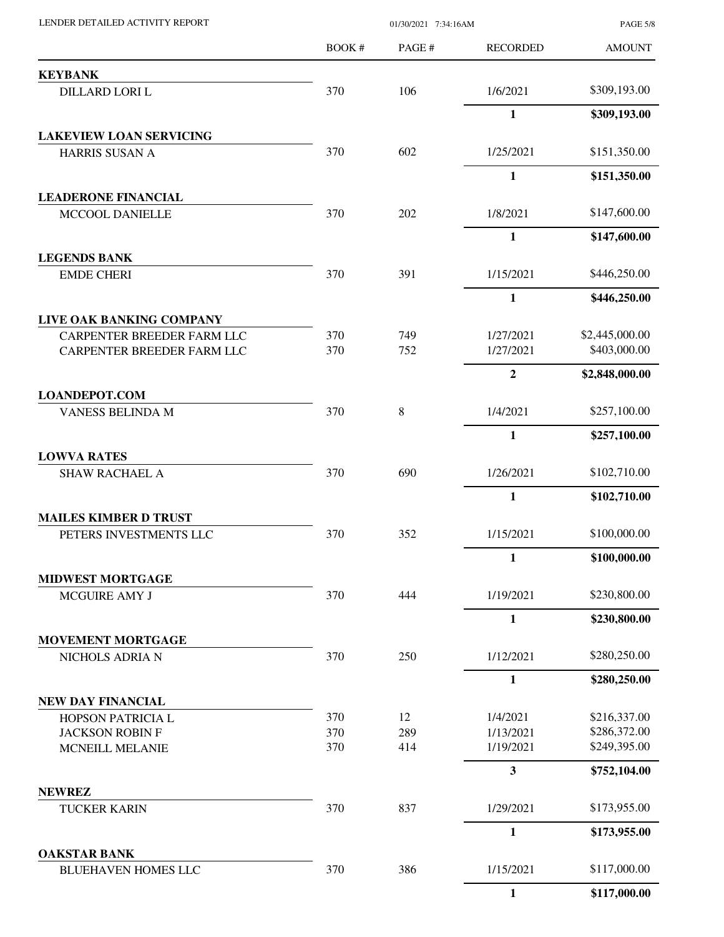| LENDER DETAILED ACTIVITY REPORT             |       | 01/30/2021 7:34:16AM |                          | <b>PAGE 5/8</b> |  |
|---------------------------------------------|-------|----------------------|--------------------------|-----------------|--|
|                                             | BOOK# | PAGE #               | <b>RECORDED</b>          | <b>AMOUNT</b>   |  |
| <b>KEYBANK</b>                              |       |                      |                          |                 |  |
| DILLARD LORI L                              | 370   | 106                  | 1/6/2021                 | \$309,193.00    |  |
|                                             |       |                      | $\mathbf{1}$             | \$309,193.00    |  |
| <b>LAKEVIEW LOAN SERVICING</b>              |       |                      |                          |                 |  |
| <b>HARRIS SUSAN A</b>                       | 370   | 602                  | 1/25/2021                | \$151,350.00    |  |
|                                             |       |                      | $\mathbf{1}$             | \$151,350.00    |  |
| <b>LEADERONE FINANCIAL</b>                  | 370   | 202                  |                          | \$147,600.00    |  |
| MCCOOL DANIELLE                             |       |                      | 1/8/2021<br>$\mathbf{1}$ | \$147,600.00    |  |
| <b>LEGENDS BANK</b>                         |       |                      |                          |                 |  |
| <b>EMDE CHERI</b>                           | 370   | 391                  | 1/15/2021                | \$446,250.00    |  |
|                                             |       |                      | $\mathbf{1}$             | \$446,250.00    |  |
| LIVE OAK BANKING COMPANY                    |       |                      |                          |                 |  |
| CARPENTER BREEDER FARM LLC                  | 370   | 749                  | 1/27/2021                | \$2,445,000.00  |  |
| CARPENTER BREEDER FARM LLC                  | 370   | 752                  | 1/27/2021                | \$403,000.00    |  |
|                                             |       |                      | $\boldsymbol{2}$         | \$2,848,000.00  |  |
| <b>LOANDEPOT.COM</b>                        |       |                      |                          |                 |  |
| VANESS BELINDA M                            | 370   | 8                    | 1/4/2021                 | \$257,100.00    |  |
|                                             |       |                      | $\mathbf{1}$             | \$257,100.00    |  |
| <b>LOWVA RATES</b><br><b>SHAW RACHAEL A</b> | 370   | 690                  | 1/26/2021                | \$102,710.00    |  |
|                                             |       |                      | $\mathbf{1}$             | \$102,710.00    |  |
| <b>MAILES KIMBER D TRUST</b>                |       |                      |                          |                 |  |
| PETERS INVESTMENTS LLC                      | 370   | 352                  | 1/15/2021                | \$100,000.00    |  |
|                                             |       |                      | $\mathbf{1}$             | \$100,000.00    |  |
| <b>MIDWEST MORTGAGE</b>                     |       |                      |                          |                 |  |
| MCGUIRE AMY J                               | 370   | 444                  | 1/19/2021                | \$230,800.00    |  |
|                                             |       |                      | $\mathbf{1}$             | \$230,800.00    |  |
| <b>MOVEMENT MORTGAGE</b><br>NICHOLS ADRIA N | 370   | 250                  | 1/12/2021                | \$280,250.00    |  |
|                                             |       |                      | $\mathbf{1}$             | \$280,250.00    |  |
| NEW DAY FINANCIAL                           |       |                      |                          |                 |  |
| HOPSON PATRICIA L                           | 370   | 12                   | 1/4/2021                 | \$216,337.00    |  |
| <b>JACKSON ROBIN F</b>                      | 370   | 289                  | 1/13/2021                | \$286,372.00    |  |
| <b>MCNEILL MELANIE</b>                      | 370   | 414                  | 1/19/2021                | \$249,395.00    |  |
|                                             |       |                      | $\mathbf{3}$             | \$752,104.00    |  |
| <b>NEWREZ</b><br><b>TUCKER KARIN</b>        | 370   | 837                  | 1/29/2021                | \$173,955.00    |  |
|                                             |       |                      | $\mathbf{1}$             | \$173,955.00    |  |
| <b>OAKSTAR BANK</b>                         |       |                      |                          |                 |  |
| <b>BLUEHAVEN HOMES LLC</b>                  | 370   | 386                  | 1/15/2021                | \$117,000.00    |  |
|                                             |       |                      | $\mathbf{1}$             | \$117,000.00    |  |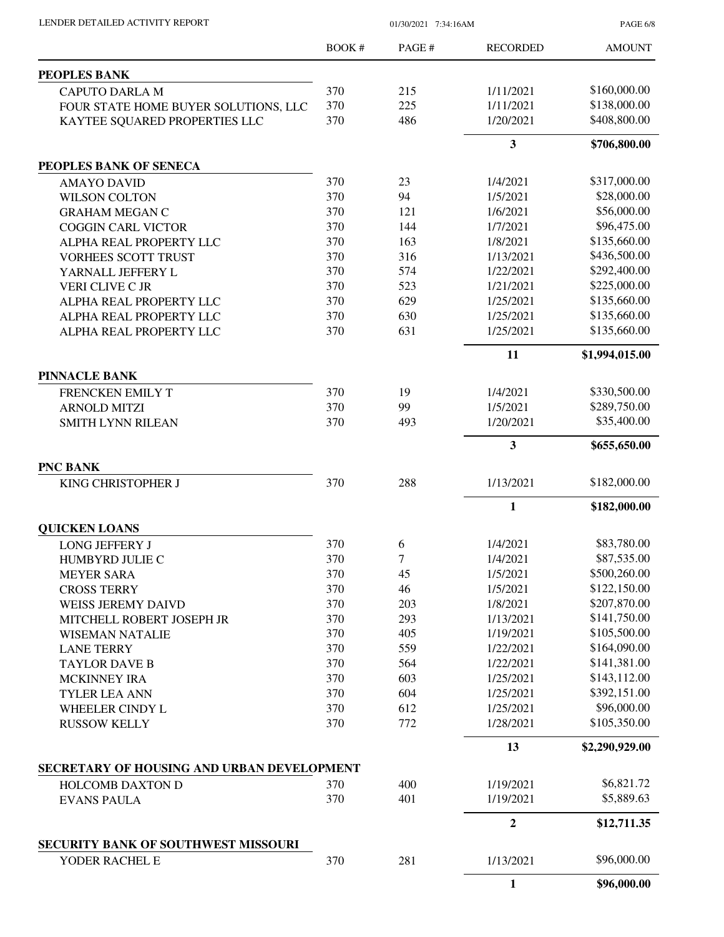| LENDER DETAILED ACTIVITY REPORT            | 01/30/2021 7:34:16AM |       |                 | <b>PAGE 6/8</b> |  |
|--------------------------------------------|----------------------|-------|-----------------|-----------------|--|
|                                            | BOOK #               | PAGE# | <b>RECORDED</b> | <b>AMOUNT</b>   |  |
| PEOPLES BANK                               |                      |       |                 |                 |  |
| <b>CAPUTO DARLA M</b>                      | 370                  | 215   | 1/11/2021       | \$160,000.00    |  |
| FOUR STATE HOME BUYER SOLUTIONS, LLC       | 370                  | 225   | 1/11/2021       | \$138,000.00    |  |
| KAYTEE SQUARED PROPERTIES LLC              | 370                  | 486   | 1/20/2021       | \$408,800.00    |  |
|                                            |                      |       | 3               | \$706,800.00    |  |
| PEOPLES BANK OF SENECA                     |                      |       |                 |                 |  |
| <b>AMAYO DAVID</b>                         | 370                  | 23    | 1/4/2021        | \$317,000.00    |  |
| <b>WILSON COLTON</b>                       | 370                  | 94    | 1/5/2021        | \$28,000.00     |  |
| <b>GRAHAM MEGAN C</b>                      | 370                  | 121   | 1/6/2021        | \$56,000.00     |  |
| <b>COGGIN CARL VICTOR</b>                  | 370                  | 144   | 1/7/2021        | \$96,475.00     |  |
| ALPHA REAL PROPERTY LLC                    | 370                  | 163   | 1/8/2021        | \$135,660.00    |  |
| <b>VORHEES SCOTT TRUST</b>                 | 370                  | 316   | 1/13/2021       | \$436,500.00    |  |
| YARNALL JEFFERY L                          | 370                  | 574   | 1/22/2021       | \$292,400.00    |  |
| VERI CLIVE C JR                            | 370                  | 523   | 1/21/2021       | \$225,000.00    |  |
| ALPHA REAL PROPERTY LLC                    | 370                  | 629   | 1/25/2021       | \$135,660.00    |  |
| ALPHA REAL PROPERTY LLC                    | 370                  | 630   | 1/25/2021       | \$135,660.00    |  |
| ALPHA REAL PROPERTY LLC                    | 370                  | 631   | 1/25/2021       | \$135,660.00    |  |
|                                            |                      |       | 11              | \$1,994,015.00  |  |
| <b>PINNACLE BANK</b>                       |                      |       |                 |                 |  |
| FRENCKEN EMILY T                           | 370                  | 19    | 1/4/2021        | \$330,500.00    |  |
| <b>ARNOLD MITZI</b>                        | 370                  | 99    | 1/5/2021        | \$289,750.00    |  |
| <b>SMITH LYNN RILEAN</b>                   | 370                  | 493   | 1/20/2021       | \$35,400.00     |  |
|                                            |                      |       | 3               | \$655,650.00    |  |
| <b>PNC BANK</b>                            |                      |       |                 |                 |  |
| KING CHRISTOPHER J                         | 370                  | 288   | 1/13/2021       | \$182,000.00    |  |
|                                            |                      |       | 1               | \$182,000.00    |  |
| <b>QUICKEN LOANS</b>                       |                      |       |                 |                 |  |
| LONG JEFFERY J                             | 370                  | 6     | 1/4/2021        | \$83,780.00     |  |
| HUMBYRD JULIE C                            | 370                  | 7     | 1/4/2021        | \$87,535.00     |  |
| <b>MEYER SARA</b>                          | 370                  | 45    | 1/5/2021        | \$500,260.00    |  |
| <b>CROSS TERRY</b>                         | 370                  | 46    | 1/5/2021        | \$122,150.00    |  |
| <b>WEISS JEREMY DAIVD</b>                  | 370                  | 203   | 1/8/2021        | \$207,870.00    |  |
| MITCHELL ROBERT JOSEPH JR                  | 370                  | 293   | 1/13/2021       | \$141,750.00    |  |
| <b>WISEMAN NATALIE</b>                     | 370                  | 405   | 1/19/2021       | \$105,500.00    |  |
| <b>LANE TERRY</b>                          | 370                  | 559   | 1/22/2021       | \$164,090.00    |  |
| <b>TAYLOR DAVE B</b>                       | 370                  | 564   | 1/22/2021       | \$141,381.00    |  |
| <b>MCKINNEY IRA</b>                        | 370                  | 603   | 1/25/2021       | \$143,112.00    |  |
| <b>TYLER LEA ANN</b>                       | 370                  | 604   | 1/25/2021       | \$392,151.00    |  |
| WHEELER CINDY L                            | 370                  | 612   | 1/25/2021       | \$96,000.00     |  |
| <b>RUSSOW KELLY</b>                        | 370                  | 772   | 1/28/2021       | \$105,350.00    |  |
|                                            |                      |       | 13              | \$2,290,929.00  |  |
| SECRETARY OF HOUSING AND URBAN DEVELOPMENT |                      |       |                 |                 |  |
| HOLCOMB DAXTON D                           | 370                  | 400   | 1/19/2021       | \$6,821.72      |  |
| <b>EVANS PAULA</b>                         | 370                  | 401   | 1/19/2021       | \$5,889.63      |  |
|                                            |                      |       | $\mathbf{2}$    | \$12,711.35     |  |
| <b>SECURITY BANK OF SOUTHWEST MISSOURI</b> |                      |       |                 |                 |  |
| YODER RACHEL E                             | 370                  | 281   | 1/13/2021       | \$96,000.00     |  |
|                                            |                      |       | 1               | \$96,000.00     |  |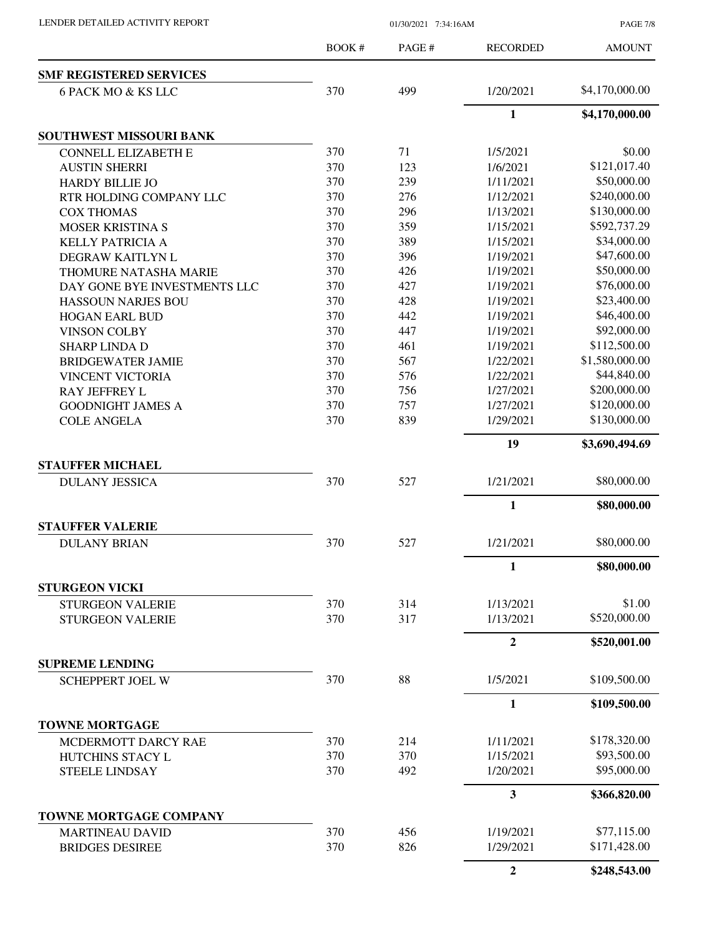| LENDER DETAILED ACTIVITY REPORT |  |
|---------------------------------|--|
|                                 |  |

01/30/2021 7:34:16AM

PAGE 7/8

|                                                   | <b>BOOK#</b> | PAGE# | <b>RECORDED</b> | <b>AMOUNT</b>  |
|---------------------------------------------------|--------------|-------|-----------------|----------------|
| <b>SMF REGISTERED SERVICES</b>                    |              |       |                 |                |
| 6 PACK MO & KS LLC                                | 370          | 499   | 1/20/2021       | \$4,170,000.00 |
|                                                   |              |       | $\mathbf{1}$    | \$4,170,000.00 |
| SOUTHWEST MISSOURI BANK                           |              |       |                 |                |
| <b>CONNELL ELIZABETH E</b>                        | 370          | 71    | 1/5/2021        | \$0.00         |
| <b>AUSTIN SHERRI</b>                              | 370          | 123   | 1/6/2021        | \$121,017.40   |
| <b>HARDY BILLIE JO</b>                            | 370          | 239   | 1/11/2021       | \$50,000.00    |
| RTR HOLDING COMPANY LLC                           | 370          | 276   | 1/12/2021       | \$240,000.00   |
| <b>COX THOMAS</b>                                 | 370          | 296   | 1/13/2021       | \$130,000.00   |
| <b>MOSER KRISTINA S</b>                           | 370          | 359   | 1/15/2021       | \$592,737.29   |
| <b>KELLY PATRICIA A</b>                           | 370          | 389   | 1/15/2021       | \$34,000.00    |
| DEGRAW KAITLYN L                                  | 370          | 396   | 1/19/2021       | \$47,600.00    |
| <b>THOMURE NATASHA MARIE</b>                      | 370          | 426   | 1/19/2021       | \$50,000.00    |
| DAY GONE BYE INVESTMENTS LLC                      | 370          | 427   | 1/19/2021       | \$76,000.00    |
| <b>HASSOUN NARJES BOU</b>                         | 370          | 428   | 1/19/2021       | \$23,400.00    |
| <b>HOGAN EARL BUD</b>                             | 370          | 442   | 1/19/2021       | \$46,400.00    |
| <b>VINSON COLBY</b>                               | 370          | 447   | 1/19/2021       | \$92,000.00    |
| <b>SHARP LINDA D</b>                              | 370          | 461   | 1/19/2021       | \$112,500.00   |
| <b>BRIDGEWATER JAMIE</b>                          | 370          | 567   | 1/22/2021       | \$1,580,000.00 |
| <b>VINCENT VICTORIA</b>                           | 370          | 576   | 1/22/2021       | \$44,840.00    |
| <b>RAY JEFFREY L</b>                              | 370          | 756   | 1/27/2021       | \$200,000.00   |
| <b>GOODNIGHT JAMES A</b>                          | 370          | 757   | 1/27/2021       | \$120,000.00   |
| <b>COLE ANGELA</b>                                | 370          | 839   | 1/29/2021       | \$130,000.00   |
|                                                   |              |       | 19              | \$3,690,494.69 |
| <b>STAUFFER MICHAEL</b>                           |              |       |                 |                |
| <b>DULANY JESSICA</b>                             | 370          | 527   | 1/21/2021       | \$80,000.00    |
|                                                   |              |       | $\mathbf{1}$    | \$80,000.00    |
| <b>STAUFFER VALERIE</b>                           |              |       |                 |                |
| <b>DULANY BRIAN</b>                               | 370          | 527   | 1/21/2021       | \$80,000.00    |
|                                                   |              |       | 1               | \$80,000.00    |
| <b>STURGEON VICKI</b>                             |              |       |                 |                |
| <b>STURGEON VALERIE</b>                           | 370          | 314   | 1/13/2021       | \$1.00         |
| <b>STURGEON VALERIE</b>                           | 370          | 317   | 1/13/2021       | \$520,000.00   |
|                                                   |              |       | $\mathbf{2}$    | \$520,001.00   |
| <b>SUPREME LENDING</b><br><b>SCHEPPERT JOEL W</b> | 370          | 88    | 1/5/2021        | \$109,500.00   |
|                                                   |              |       | $\mathbf{1}$    | \$109,500.00   |
| <b>TOWNE MORTGAGE</b>                             |              |       |                 |                |
| MCDERMOTT DARCY RAE                               | 370          | 214   | 1/11/2021       | \$178,320.00   |
| <b>HUTCHINS STACY L</b>                           | 370          | 370   | 1/15/2021       | \$93,500.00    |
| <b>STEELE LINDSAY</b>                             | 370          | 492   | 1/20/2021       | \$95,000.00    |
|                                                   |              |       | 3               | \$366,820.00   |
| TOWNE MORTGAGE COMPANY                            |              |       |                 |                |
| <b>MARTINEAU DAVID</b>                            | 370          | 456   | 1/19/2021       | \$77,115.00    |
| <b>BRIDGES DESIREE</b>                            | 370          | 826   | 1/29/2021       | \$171,428.00   |
|                                                   |              |       | $\mathbf{2}$    | \$248,543.00   |